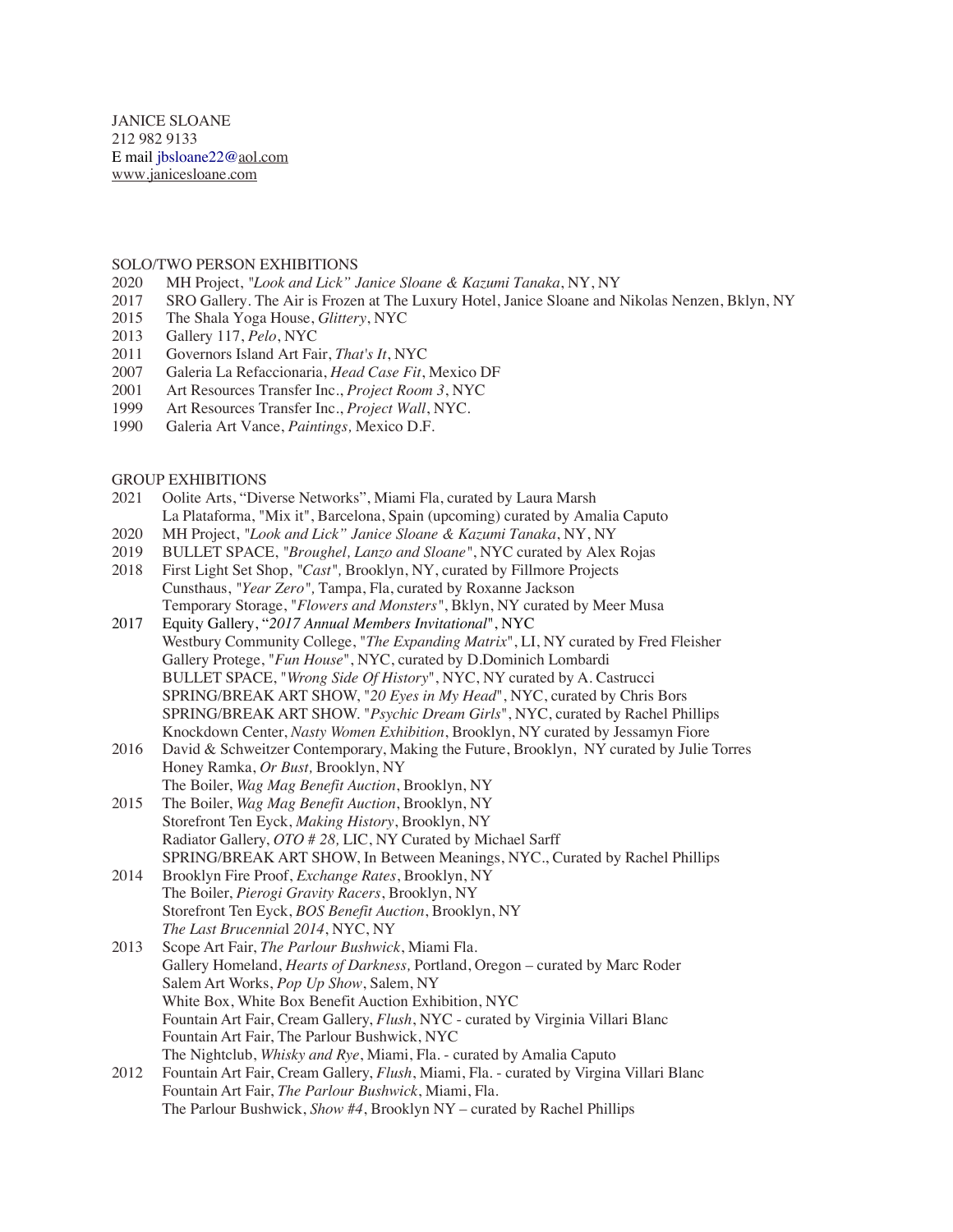JANICE SLOANE 212 982 9133 E mail jbsloane22@aol.com www.janicesloane.com

## SOLO/TWO PERSON EXHIBITIONS

- 2020 MH Project, *"Look and Lick" Janice Sloane & Kazumi Tanaka*, NY, NY
- 2017 SRO Gallery. The Air is Frozen at The Luxury Hotel, Janice Sloane and Nikolas Nenzen, Bklyn, NY<br>2015 The Shala Yoga House, *Glittery*, NYC
- 2015 The Shala Yoga House, *Glittery*, NYC
- 2013 Gallery 117, *Pelo*, NYC
- 2011 Governors Island Art Fair, *That's It*, NYC
- 2007 Galeria La Refaccionaria, *Head Case Fit*, Mexico DF
- 2001 Art Resources Transfer Inc., *Project Room 3*, NYC
- 1999 Art Resources Transfer Inc., *Project Wall*, NYC.
- 1990 Galeria Art Vance, *Paintings,* Mexico D.F.

## GROUP EXHIBITIONS

- 2021 Oolite Arts, "Diverse Networks", Miami Fla, curated by Laura Marsh La Plataforma, "Mix it", Barcelona, Spain (upcoming) curated by Amalia Caputo
- 2020 MH Project, *"Look and Lick" Janice Sloane & Kazumi Tanaka*, NY, NY
- 2019 BULLET SPACE, *"Broughel, Lanzo and Sloane"*, NYC curated by Alex Rojas
- 2018 First Light Set Shop, *"Cast",* Brooklyn, NY, curated by Fillmore Projects Cunsthaus, *"Year Zero",* Tampa, Fla, curated by Roxanne Jackson Temporary Storage, "*Flowers and Monsters"*, Bklyn, NY curated by Meer Musa
- 2017 Equity Gallery, "*2017 Annual Members Invitational*", NYC Westbury Community College, "*The Expanding Matrix*", LI, NY curated by Fred Fleisher Gallery Protege, "*Fun House*", NYC, curated by D.Dominich Lombardi BULLET SPACE, "*Wrong Side Of History*", NYC, NY curated by A. Castrucci SPRING/BREAK ART SHOW, "*20 Eyes in My Head*", NYC, curated by Chris Bors SPRING/BREAK ART SHOW. "*Psychic Dream Girls*", NYC, curated by Rachel Phillips Knockdown Center, *Nasty Women Exhibition*, Brooklyn, NY curated by Jessamyn Fiore
- 2016 David & Schweitzer Contemporary, Making the Future, Brooklyn, NY curated by Julie Torres Honey Ramka, *Or Bust,* Brooklyn, NY The Boiler, *Wag Mag Benefit Auction*, Brooklyn, NY
- 2015 The Boiler, *Wag Mag Benefit Auction*, Brooklyn, NY Storefront Ten Eyck, *Making History*, Brooklyn, NY Radiator Gallery, *OTO # 28,* LIC, NY Curated by Michael Sarff SPRING/BREAK ART SHOW, In Between Meanings, NYC., Curated by Rachel Phillips
- 2014 Brooklyn Fire Proof, *Exchange Rates*, Brooklyn, NY The Boiler, *Pierogi Gravity Racers*, Brooklyn, NY Storefront Ten Eyck, *BOS Benefit Auction*, Brooklyn, NY *The Last Brucennia*l *2014*, NYC, NY
- 2013 Scope Art Fair, *The Parlour Bushwick*, Miami Fla. Gallery Homeland, *Hearts of Darkness,* Portland, Oregon – curated by Marc Roder Salem Art Works, *Pop Up Show*, Salem, NY White Box, White Box Benefit Auction Exhibition, NYC Fountain Art Fair, Cream Gallery, *Flush*, NYC - curated by Virginia Villari Blanc Fountain Art Fair, The Parlour Bushwick, NYC The Nightclub, *Whisky and Rye*, Miami, Fla. - curated by Amalia Caputo
- 2012 Fountain Art Fair, Cream Gallery, *Flush*, Miami, Fla. curated by Virgina Villari Blanc Fountain Art Fair, *The Parlour Bushwick*, Miami, Fla. The Parlour Bushwick, *Show #4*, Brooklyn NY – curated by Rachel Phillips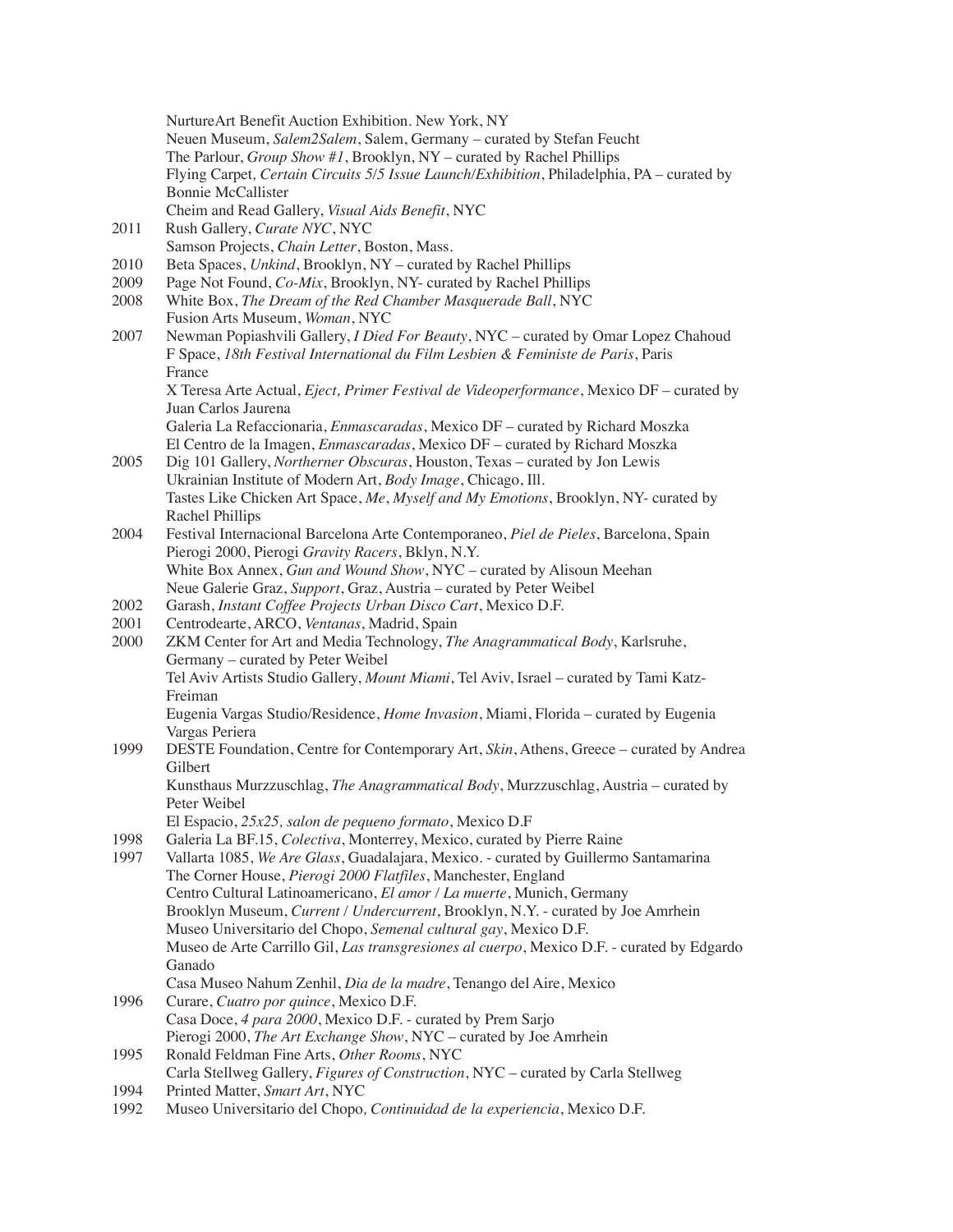|      | NurtureArt Benefit Auction Exhibition. New York, NY<br>Neuen Museum, Salem2Salem, Salem, Germany - curated by Stefan Feucht                                                                      |
|------|--------------------------------------------------------------------------------------------------------------------------------------------------------------------------------------------------|
|      | The Parlour, Group Show #1, Brooklyn, NY - curated by Rachel Phillips<br>Flying Carpet, Certain Circuits 5/5 Issue Launch/Exhibition, Philadelphia, PA - curated by<br><b>Bonnie McCallister</b> |
|      | Cheim and Read Gallery, Visual Aids Benefit, NYC                                                                                                                                                 |
| 2011 | Rush Gallery, Curate NYC, NYC                                                                                                                                                                    |
|      | Samson Projects, Chain Letter, Boston, Mass.                                                                                                                                                     |
| 2010 | Beta Spaces, Unkind, Brooklyn, NY - curated by Rachel Phillips                                                                                                                                   |
| 2009 | Page Not Found, Co-Mix, Brooklyn, NY- curated by Rachel Phillips                                                                                                                                 |
| 2008 | White Box, The Dream of the Red Chamber Masquerade Ball, NYC<br>Fusion Arts Museum, Woman, NYC                                                                                                   |
| 2007 | Newman Popiashvili Gallery, I Died For Beauty, NYC - curated by Omar Lopez Chahoud                                                                                                               |
|      | F Space, 18th Festival International du Film Lesbien & Feministe de Paris, Paris<br>France                                                                                                       |
|      | X Teresa Arte Actual, Eject, Primer Festival de Videoperformance, Mexico DF - curated by                                                                                                         |
|      | Juan Carlos Jaurena                                                                                                                                                                              |
|      | Galeria La Refaccionaria, <i>Enmascaradas</i> , Mexico DF - curated by Richard Moszka                                                                                                            |
|      | El Centro de la Imagen, <i>Enmascaradas</i> , Mexico DF - curated by Richard Moszka                                                                                                              |
| 2005 | Dig 101 Gallery, Northerner Obscuras, Houston, Texas - curated by Jon Lewis                                                                                                                      |
|      | Ukrainian Institute of Modern Art, Body Image, Chicago, Ill.                                                                                                                                     |
|      | Tastes Like Chicken Art Space, Me, Myself and My Emotions, Brooklyn, NY- curated by                                                                                                              |
|      | Rachel Phillips                                                                                                                                                                                  |
| 2004 | Festival Internacional Barcelona Arte Contemporaneo, Piel de Pieles, Barcelona, Spain                                                                                                            |
|      | Pierogi 2000, Pierogi Gravity Racers, Bklyn, N.Y.                                                                                                                                                |
|      | White Box Annex, Gun and Wound Show, NYC - curated by Alisoun Meehan                                                                                                                             |
|      | Neue Galerie Graz, Support, Graz, Austria - curated by Peter Weibel                                                                                                                              |
| 2002 | Garash, Instant Coffee Projects Urban Disco Cart, Mexico D.F.                                                                                                                                    |
| 2001 | Centrodearte, ARCO, Ventanas, Madrid, Spain                                                                                                                                                      |
| 2000 | ZKM Center for Art and Media Technology, The Anagrammatical Body, Karlsruhe,<br>Germany - curated by Peter Weibel                                                                                |
|      | Tel Aviv Artists Studio Gallery, Mount Miami, Tel Aviv, Israel - curated by Tami Katz-<br>Freiman                                                                                                |
|      | Eugenia Vargas Studio/Residence, <i>Home Invasion</i> , Miami, Florida – curated by Eugenia<br>Vargas Periera                                                                                    |
| 1999 | DESTE Foundation, Centre for Contemporary Art, Skin, Athens, Greece - curated by Andrea<br>Gilbert                                                                                               |
|      | Kunsthaus Murzzuschlag, The Anagrammatical Body, Murzzuschlag, Austria – curated by<br>Peter Weibel                                                                                              |
|      | El Espacio, 25x25, salon de pequeno formato, Mexico D.F                                                                                                                                          |
| 1998 | Galeria La BF.15, Colectiva, Monterrey, Mexico, curated by Pierre Raine                                                                                                                          |
| 1997 | Vallarta 1085, We Are Glass, Guadalajara, Mexico. - curated by Guillermo Santamarina                                                                                                             |
|      | The Corner House, Pierogi 2000 Flatfiles, Manchester, England                                                                                                                                    |
|      | Centro Cultural Latinoamericano, El amor / La muerte, Munich, Germany<br>Brooklyn Museum, Current / Undercurrent, Brooklyn, N.Y. - curated by Joe Amrhein                                        |
|      | Museo Universitario del Chopo, Semenal cultural gay, Mexico D.F.                                                                                                                                 |
|      | Museo de Arte Carrillo Gil, Las transgresiones al cuerpo, Mexico D.F. - curated by Edgardo                                                                                                       |
|      | Ganado                                                                                                                                                                                           |
|      | Casa Museo Nahum Zenhil, Dia de la madre, Tenango del Aire, Mexico                                                                                                                               |
| 1996 | Curare, Cuatro por quince, Mexico D.F.                                                                                                                                                           |
|      | Casa Doce, 4 para 2000, Mexico D.F. - curated by Prem Sarjo                                                                                                                                      |
|      | Pierogi 2000, The Art Exchange Show, NYC - curated by Joe Amrhein                                                                                                                                |
| 1995 | Ronald Feldman Fine Arts, Other Rooms, NYC                                                                                                                                                       |
|      | Carla Stellweg Gallery, Figures of Construction, NYC - curated by Carla Stellweg                                                                                                                 |
| 1994 | Printed Matter, Smart Art, NYC                                                                                                                                                                   |
| 1992 | Museo Universitario del Chopo, Continuidad de la experiencia, Mexico D.F.                                                                                                                        |